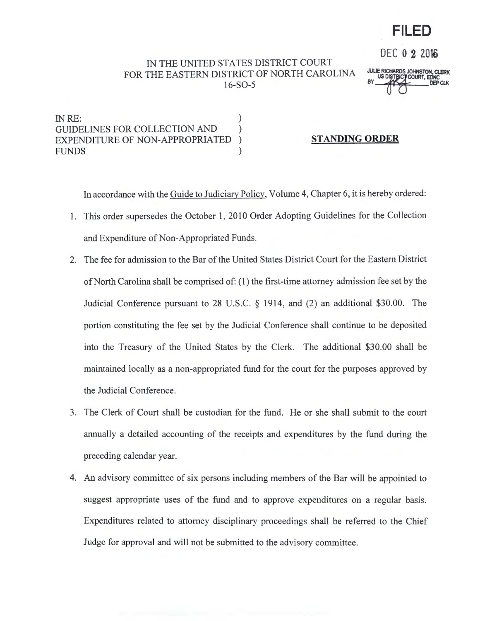## **FILED**

IN THE UNITED STATES DISTRICT COURT FOR THE EASTERN DISTRICT OF NORTH CAROLINA 16-S0-5

JULIE RICHARDS JOHNSTON, **CLERK**  BY AK DEPCUK

DEC 0 2 2016

IN RE: GUIDELINES FOR COLLECTION AND  $($ EXPENDITURE OF NON-APPROPRIATED ) **FUNDS** 

## **STANDING ORDER**

In accordance with the Guide to Judiciary Policy, Volume 4, Chapter 6, it is hereby ordered:

- I. This order supersedes the October 1, 2010 Order Adopting Guidelines for the Collection and Expenditure of Non-Appropriated Funds.
- 2. The fee for admission to the Bar of the United States District Court for the Eastern District of North Carolina shall be comprised of: (1) the first-time attorney admission fee set by the Judicial Conference pursuant to 28 U.S.C. § 1914, and (2) an additional \$30.00. The portion constituting the fee set by the Judicial Conference shall continue to be deposited into the Treasury of the United States by the Clerk. The additional \$30.00 shall be maintained locally as a non-appropriated fund for the court for the purposes approved by the Judicial Conference.
- 3. The Clerk of Court shall be custodian for the fund. He or she shall submit to the court annually a detailed accounting of the receipts and expenditures by the fund during the preceding calendar year.
- 4. An advisory committee of six persons including members of the Bar will be appointed to suggest appropriate uses of the fund and to approve expenditures on a regular basis. Expenditures related to attorney disciplinary proceedings shall be referred to the Chief Judge for approval and will not be submitted to the advisory committee.